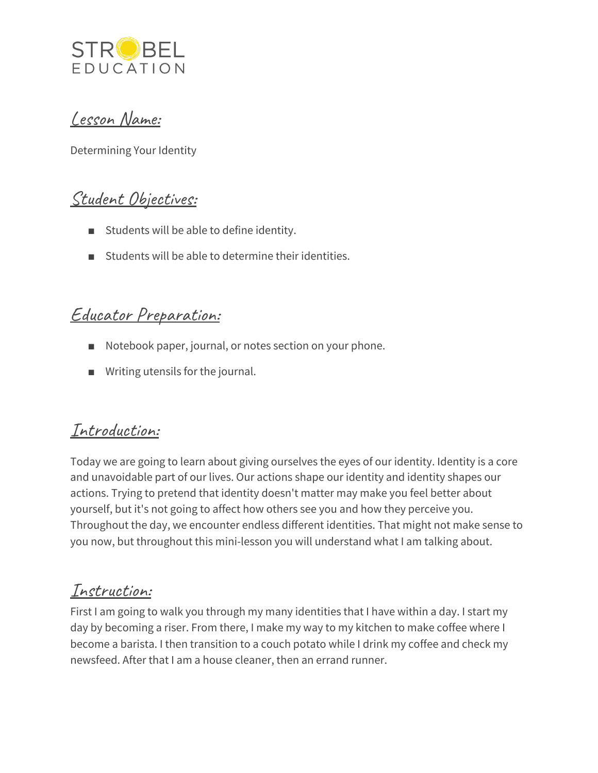

### Lesson Name:

Determining Your Identity

## Student Objectives:

- Students will be able to define identity.
- Students will be able to determine their identities.

### Educator Preparation:

- Notebook paper, journal, or notes section on your phone.
- Writing utensils for the journal.

### Introduction:

Today we are going to learn about giving ourselves the eyes of our identity. Identity is a core and unavoidable part of our lives. Our actions shape our identity and identity shapes our actions. Trying to pretend that identity doesn't matter may make you feel better about yourself, but it's not going to affect how others see you and how they perceive you. Throughout the day, we encounter endless different identities. That might not make sense to you now, but throughout this mini-lesson you will understand what I am talking about.

### Instruction:

First I am going to walk you through my many identities that I have within a day. I start my day by becoming a riser. From there, I make my way to my kitchen to make coffee where I become a barista. I then transition to a couch potato while I drink my coffee and check my newsfeed. After that I am a house cleaner, then an errand runner.